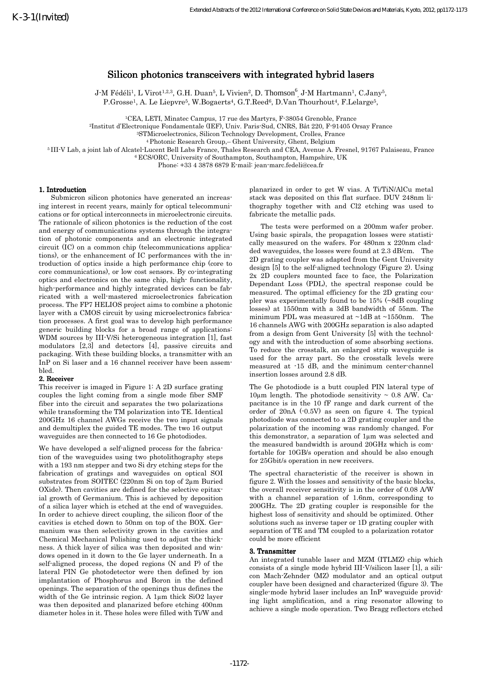# Silicon photonics transceivers with integrated hybrid lasers

J-M Fédéli<sup>1</sup>, L Virot<sup>1,2,3</sup>, G.H. Duan<sup>5</sup>, L Vivien<sup>2</sup>, D. Thomson<sup>6</sup><sub>,</sub> J-M Hartmann<sup>1</sup>, C.Jany<sup>5</sup>, P.Grosse<sup>1</sup>, A. Le Liepvre<sup>5</sup>, W.Bogaerts<sup>4</sup>, G.T.Reed<sup>6</sup>, D.Van Thourhout<sup>4</sup>, F.Lelarge<sup>5</sup>,

<sup>1</sup>CEA, LETI, Minatec Campus, 17 rue des Martyrs, F-38054 Grenoble, France

<sup>2</sup>Institut d'Electronique Fondamentale (IEF), Univ. Paris-Sud, CNRS, Bât 220, F-91405 Orsay France

<sup>3</sup>STMicroelectronics, Silicon Technology Development, Crolles, France

<sup>4</sup>Photonic Research Group,– Ghent University, Ghent, Belgium

<sup>5</sup>III-V Lab, a joint lab of Alcatel-Lucent Bell Labs France, Thales Research and CEA, Avenue A. Fresnel, 91767 Palaiseau, France

<sup>6</sup>ECS/ORC, University of Southampton, Southampton, Hampshire, UK

Phone: +33 4 3878 6879 E-mail: jean-marc.fedeli@cea.fr

## 1. Introduction

Submicron silicon photonics have generated an increasing interest in recent years, mainly for optical telecommunications or for optical interconnects in microelectronic circuits. The rationale of silicon photonics is the reduction of the cost and energy of communications systems through the integration of photonic components and an electronic integrated circuit (IC) on a common chip (telecommunications applications), or the enhancement of IC performances with the introduction of optics inside a high performance chip (core to core communications), or low cost sensors. By co-integrating optics and electronics on the same chip, high- functionality, high-performance and highly integrated devices can be fabricated with a well-mastered microelectronics fabrication process. The FP7 HELIOS project aims to combine a photonic layer with a CMOS circuit by using microelectronics fabrication processes. A first goal was to develop high performance generic building blocks for a broad range of applications: WDM sources by III-V/Si heterogeneous integration [1], fast modulators [2,3] and detectors [4], passive circuits and packaging. With these building blocks, a transmitter with an InP on Si laser and a 16 channel receiver have been assembled.

# 2. Receiver

This receiver is imaged in Figure 1: A 2D surface grating couples the light coming from a single mode fiber SMF fiber into the circuit and separates the two polarizations while transforming the TM polarization into TE. Identical 200GHz 16 channel AWGs receive the two input signals and demultiplex the guided TE modes. The two 16 output waveguides are then connected to 16 Ge photodiodes.

We have developed a self-aligned process for the fabrication of the waveguides using two photolithography steps with a 193 nm stepper and two Si dry etching steps for the fabrication of gratings and waveguides on optical SOI substrates from SOITEC (220nm Si on top of 2µm Buried OXide). Then cavities are defined for the selective epitaxial growth of Germanium. This is achieved by deposition of a silica layer which is etched at the end of waveguides. In order to achieve direct coupling, the silicon floor of the cavities is etched down to 50nm on top of the BOX. Germanium was then selectivity grown in the cavities and Chemical Mechanical Polishing used to adjust the thickness. A thick layer of silica was then deposited and windows opened in it down to the Ge layer underneath. In a self-aligned process, the doped regions (N and P) of the lateral PIN Ge photodetector were then defined by ion implantation of Phosphorus and Boron in the defined openings. The separation of the openings thus defines the width of the Ge intrinsic region. A 1um thick SiO2 layer was then deposited and planarized before etching 400nm diameter holes in it. These holes were filled with Ti/W and planarized in order to get W vias. A Ti/TiN/AlCu metal stack was deposited on this flat surface. DUV 248nm lithography together with and Cl2 etching was used to fabricate the metallic pads.

The tests were performed on a 200mm wafer prober. Using basic spirals, the propagation losses were statistically measured on the wafers. For 480nm x 220nm cladded waveguides, the losses were found at 2.3 dB/cm. The 2D grating coupler was adapted from the Gent University design [5] to the self-aligned technology (Figure 2). Using 2x 2D couplers mounted face to face, the Polarization Dependant Loss (PDL), the spectral response could be measured. The optimal efficiency for the 2D grating coupler was experimentally found to be 15% (~8dB coupling losses) at 1550nm with a 3dB bandwidth of 55nm. The minimum PDL was measured at ~1dB at ~1550nm. The 16 channels AWG with 200GHz separation is also adapted from a design from Gent University [5] with the technology and with the introduction of some absorbing sections. To reduce the crosstalk, an enlarged strip waveguide is used for the array part. So the crosstalk levels were measured at -15 dB, and the minimum center-channel insertion losses around 2.8 dB.

The Ge photodiode is a butt coupled PIN lateral type of 10 $\mu$ m length. The photodiode sensitivity ~ 0.8 A/W. Capacitance is in the 10 fF range and dark current of the order of 20nA (-0.5V) as seen on figure 4. The typical photodiode was connected to a 2D grating coupler and the polarization of the incoming was randomly changed. For this demonstrator, a separation of 1µm was selected and the measured bandwidth is around 20GHz which is comfortable for 10GB/s operation and should be also enough for 25Gbit/s operation in new receivers.

The spectral characteristic of the receiver is shown in figure 2. With the losses and sensitivity of the basic blocks, the overall receiver sensitivity is in the order of 0.08 A/W with a channel separation of 1.6nm, corresponding to 200GHz. The 2D grating coupler is responsible for the highest loss of sensitivity and should be optimized. Other solutions such as inverse taper or 1D grating coupler with separation of TE and TM coupled to a polarization rotator could be more efficient

### 3. Transmitter

An integrated tunable laser and MZM (ITLMZ) chip which consists of a single mode hybrid III-V/silicon laser [1], a silicon Mach-Zehnder (MZ) modulator and an optical output coupler have been designed and characterized (figure 3). The single-mode hybrid laser includes an InP waveguide providing light amplification, and a ring resonator allowing to achieve a single mode operation. Two Bragg reflectors etched